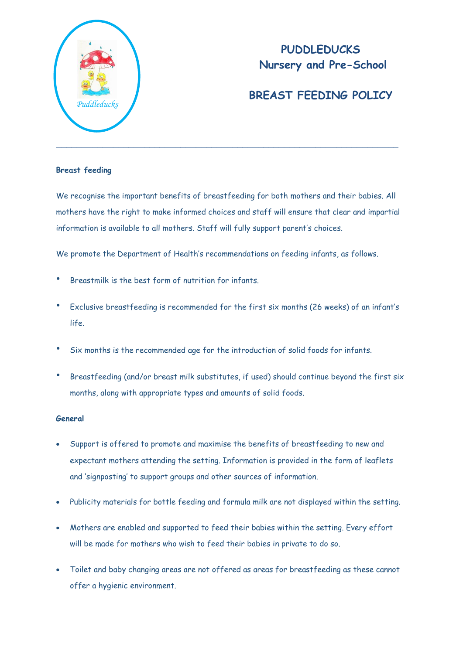

## **PUDDLEDUCKS Nursery and Pre-School**

## **BREAST FEEDING POLICY**

## **Breast feeding**

We recognise the important benefits of breastfeeding for both mothers and their babies. All mothers have the right to make informed choices and staff will ensure that clear and impartial information is available to all mothers. Staff will fully support parent's choices.

We promote the Department of Health's recommendations on feeding infants, as follows.

- Breastmilk is the best form of nutrition for infants.
- Exclusive breastfeeding is recommended for the first six months (26 weeks) of an infant's life.
- Six months is the recommended age for the introduction of solid foods for infants.
- Breastfeeding (and/or breast milk substitutes, if used) should continue beyond the first six months, along with appropriate types and amounts of solid foods.

## **General**

- Support is offered to promote and maximise the benefits of breastfeeding to new and expectant mothers attending the setting. Information is provided in the form of leaflets and 'signposting' to support groups and other sources of information.
- Publicity materials for bottle feeding and formula milk are not displayed within the setting.
- Mothers are enabled and supported to feed their babies within the setting. Every effort will be made for mothers who wish to feed their babies in private to do so.
- Toilet and baby changing areas are not offered as areas for breastfeeding as these cannot offer a hygienic environment.